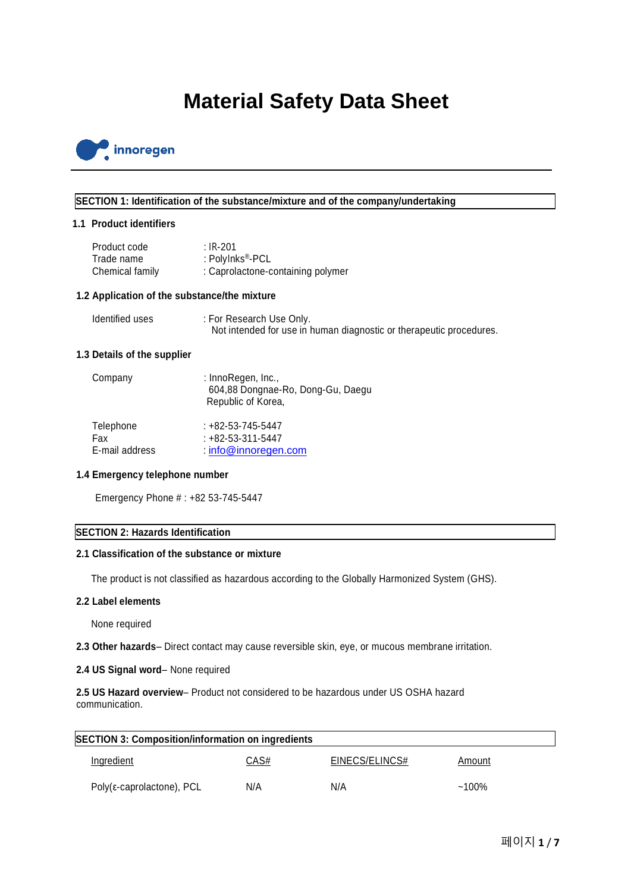# **Material Safety Data Sheet**



# **SECTION 1: Identification of the substance/mixture and of the company/undertaking**

# **1.1 Product identifiers**

| Product code    | : IR-201                          |
|-----------------|-----------------------------------|
| Trade name      | : PolyInks®-PCL                   |
| Chemical family | : Caprolactone-containing polymer |

# **1.2 Application of the substance/the mixture**

| Identified uses | : For Research Use Only.                                            |
|-----------------|---------------------------------------------------------------------|
|                 | Not intended for use in human diagnostic or therapeutic procedures. |

## **1.3 Details of the supplier**

| Company        | : InnoRegen, Inc.,<br>604,88 Dongnae-Ro, Dong-Gu, Daegu<br>Republic of Korea, |
|----------------|-------------------------------------------------------------------------------|
| Telephone      | $: +82 - 53 - 745 - 5447$                                                     |
| Fax            | $: +82 - 53 - 311 - 5447$                                                     |
| E-mail address | $\therefore$ info@innoregen.com                                               |

# **1.4 Emergency telephone number**

Emergency Phone # : +82 53-745-5447

# **SECTION 2: Hazards Identification**

# **2.1 Classification of the substance or mixture**

The product is not classified as hazardous according to the Globally Harmonized System (GHS).

### **2.2 Label elements**

None required

**2.3 Other hazards**– Direct contact may cause reversible skin, eye, or mucous membrane irritation.

# **2.4 US Signal word**– None required

**2.5 US Hazard overview**– Product not considered to be hazardous under US OSHA hazard communication.

| <b>SECTION 3: Composition/information on ingredients</b> |             |                |          |  |
|----------------------------------------------------------|-------------|----------------|----------|--|
| Ingredient                                               | <u>CAS#</u> | EINECS/ELINCS# | Amount   |  |
| Poly( $\varepsilon$ -caprolactone), PCL                  | N/A         | N/A            | $~100\%$ |  |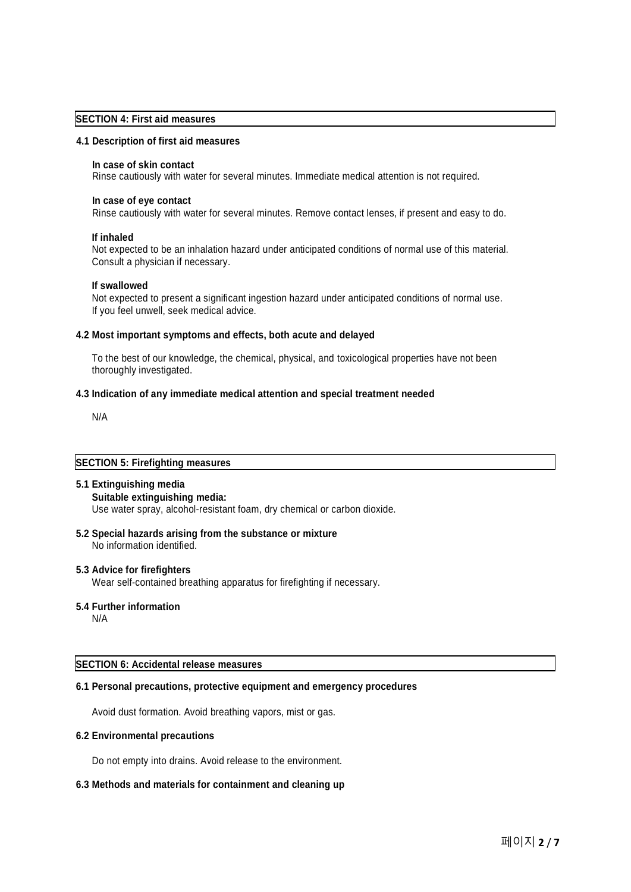## **SECTION 4: First aid measures**

#### **4.1 Description of first aid measures**

#### **In case of skin contact**

Rinse cautiously with water for several minutes. Immediate medical attention is not required.

#### **In case of eye contact**

Rinse cautiously with water for several minutes. Remove contact lenses, if present and easy to do.

#### **If inhaled**

Not expected to be an inhalation hazard under anticipated conditions of normal use of this material. Consult a physician if necessary.

#### **If swallowed**

Not expected to present a significant ingestion hazard under anticipated conditions of normal use. If you feel unwell, seek medical advice.

#### **4.2 Most important symptoms and effects, both acute and delayed**

To the best of our knowledge, the chemical, physical, and toxicological properties have not been thoroughly investigated.

## **4.3 Indication of any immediate medical attention and special treatment needed**

N/A

# **SECTION 5: Firefighting measures**

### **5.1 Extinguishing media**

#### **Suitable extinguishing media:** Use water spray, alcohol-resistant foam, dry chemical or carbon dioxide.

**5.2 Special hazards arising from the substance or mixture** No information identified.

## **5.3 Advice for firefighters**

Wear self-contained breathing apparatus for firefighting if necessary.

#### **5.4 Further information**

N/A

### **SECTION 6: Accidental release measures**

# **6.1 Personal precautions, protective equipment and emergency procedures**

Avoid dust formation. Avoid breathing vapors, mist or gas.

## **6.2 Environmental precautions**

Do not empty into drains. Avoid release to the environment.

## **6.3 Methods and materials for containment and cleaning up**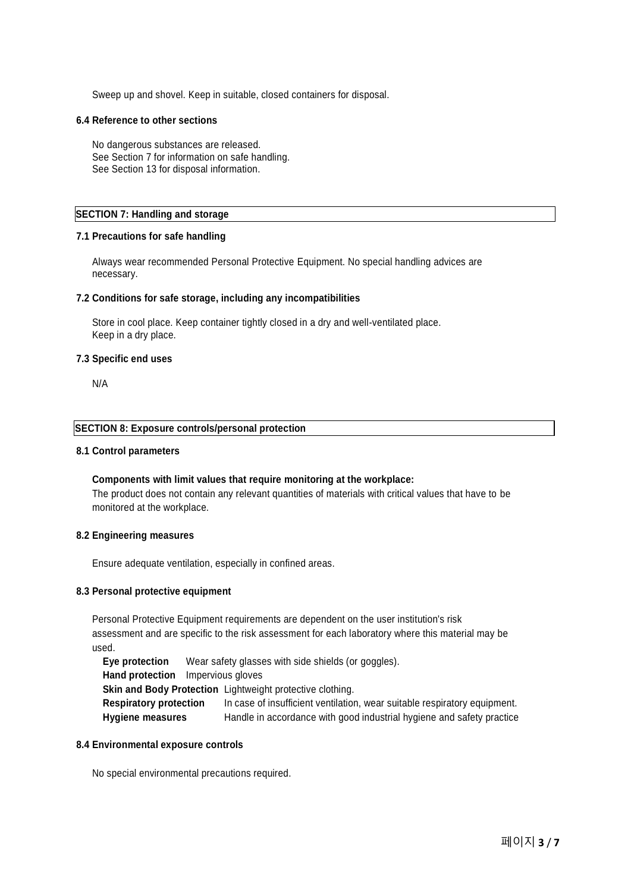Sweep up and shovel. Keep in suitable, closed containers for disposal.

#### **6.4 Reference to other sections**

No dangerous substances are released. See Section 7 for information on safe handling. See Section 13 for disposal information.

# **SECTION 7: Handling and storage**

# **7.1 Precautions for safe handling**

Always wear recommended Personal Protective Equipment. No special handling advices are necessary.

## **7.2 Conditions for safe storage, including any incompatibilities**

Store in cool place. Keep container tightly closed in a dry and well-ventilated place. Keep in a dry place.

#### **7.3 Specific end uses**

N/A

#### **SECTION 8: Exposure controls/personal protection**

#### **8.1 Control parameters**

# **Components with limit values that require monitoring at the workplace:** The product does not contain any relevant quantities of materials with critical values that have to be monitored at the workplace.

#### **8.2 Engineering measures**

Ensure adequate ventilation, especially in confined areas.

## **8.3 Personal protective equipment**

Personal Protective Equipment requirements are dependent on the user institution's risk assessment and are specific to the risk assessment for each laboratory where this material may be used.

**Eye protection** Wear safety glasses with side shields (or goggles). **Hand protection** Impervious gloves **Skin and Body Protection** Lightweight protective clothing. **Respiratory protection** In case of insufficient ventilation, wear suitable respiratory equipment. **Hygiene measures** Handle in accordance with good industrial hygiene and safety practice

### **8.4 Environmental exposure controls**

No special environmental precautions required.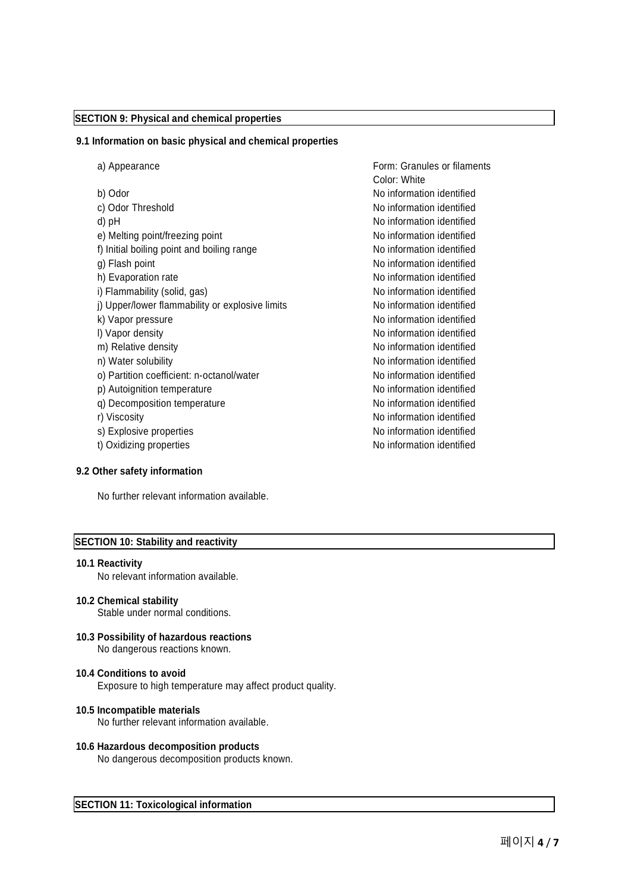# **SECTION 9: Physical and chemical properties**

#### **9.1 Information on basic physical and chemical properties**

a) Appearance Form: Granules or filaments Color: White b) Odor No information identified c) Odor Threshold **No information identified** No information identified d) pH  $\blacksquare$ e) Melting point/freezing point and no information identified f) Initial boiling point and boiling range No information identified g) Flash point and the set of the set of the No information identified h) Evaporation rate No information identified i) Flammability (solid, gas) No information identified j) Upper/lower flammability or explosive limits No information identified k) Vapor pressure No information identified l) Vapor density No information identified m) Relative density No information identified n) Water solubility and the solubility no information identified o) Partition coefficient: n-octanol/water Noinformation identified p) Autoignition temperature and the No information identified q) Decomposition temperature Moinformation identified r) Viscosity **No information identified** s) Explosive properties and the state of the No information identified t) Oxidizing properties and the state of the No information identified

# **9.2 Other safety information**

No further relevant information available.

## **SECTION 10: Stability and reactivity**

#### **10.1 Reactivity**

No relevant information available.

- **10.2 Chemical stability** Stable under normal conditions.
- **10.3 Possibility of hazardous reactions** No dangerous reactions known.
- **10.4 Conditions to avoid** Exposure to high temperature may affect product quality.
- **10.5 Incompatible materials** No further relevant information available.
- **10.6 Hazardous decomposition products** No dangerous decomposition products known.

**SECTION 11: Toxicological information**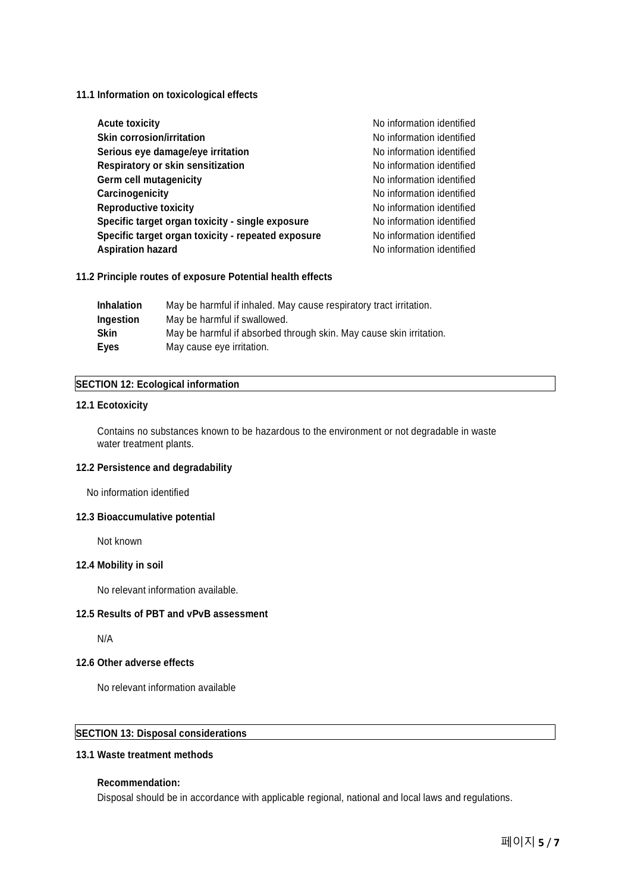## **11.1 Information on toxicological effects**

| No information identified |
|---------------------------|
| No information identified |
| No information identified |
| No information identified |
| No information identified |
| No information identified |
| No information identified |
| No information identified |
| No information identified |
| No information identified |
|                           |

## **11.2 Principle routes of exposure Potential health effects**

| May be harmful if inhaled. May cause respiratory tract irritation.  |
|---------------------------------------------------------------------|
| May be harmful if swallowed.                                        |
| May be harmful if absorbed through skin. May cause skin irritation. |
| May cause eye irritation.                                           |
|                                                                     |

# **SECTION 12: Ecological information**

# **12.1 Ecotoxicity**

Contains no substances known to be hazardous to the environment or not degradable in waste water treatment plants.

# **12.2 Persistence and degradability**

No information identified

# **12.3 Bioaccumulative potential**

Not known

# **12.4 Mobility in soil**

No relevant information available.

# **12.5 Results of PBT and vPvB assessment**

N/A

# **12.6 Other adverse effects**

No relevant information available

# **SECTION 13: Disposal considerations**

# **13.1 Waste treatment methods**

# **Recommendation:**

Disposal should be in accordance with applicable regional, national and local laws and regulations.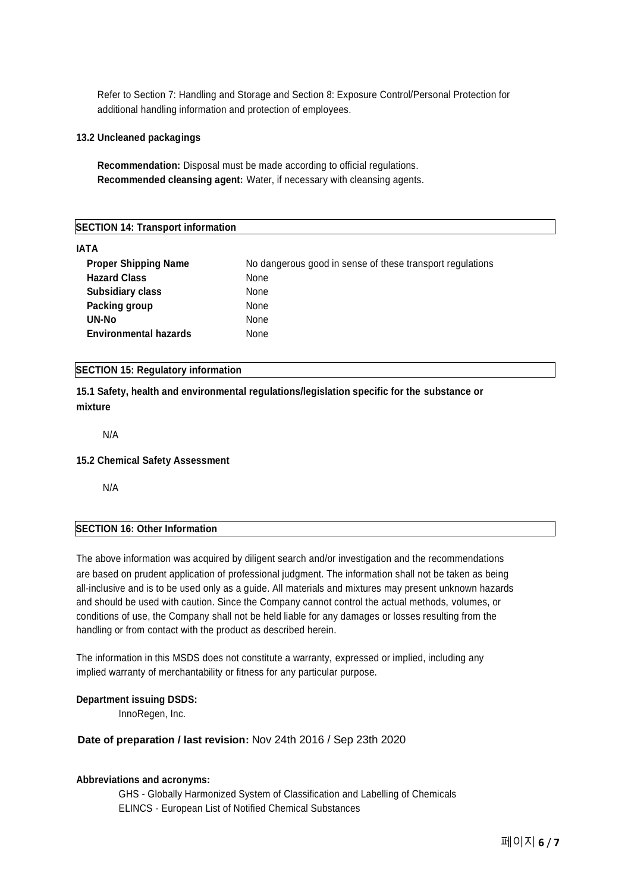Refer to Section 7: Handling and Storage and Section 8: Exposure Control/Personal Protection for additional handling information and protection of employees.

## **13.2 Uncleaned packagings**

**Recommendation:** Disposal must be made according to official regulations. **Recommended cleansing agent:** Water, if necessary with cleansing agents.

# **SECTION 14: Transport information**

# **IATA**

| <b>Proper Shipping Name</b>  | No dangerous good in sense of these transport regulations |
|------------------------------|-----------------------------------------------------------|
| <b>Hazard Class</b>          | None                                                      |
| <b>Subsidiary class</b>      | None                                                      |
| Packing group                | None                                                      |
| UN-No                        | None                                                      |
| <b>Environmental hazards</b> | None                                                      |

# **SECTION 15: Regulatory information**

**15.1 Safety, health and environmental regulations/legislation specific for the substance or mixture**

N/A

#### **15.2 Chemical Safety Assessment**

N/A

# **SECTION 16: Other Information**

The above information was acquired by diligent search and/or investigation and the recommendations are based on prudent application of professional judgment. The information shall not be taken as being all-inclusive and is to be used only as a guide. All materials and mixtures may present unknown hazards and should be used with caution. Since the Company cannot control the actual methods, volumes, or conditions of use, the Company shall not be held liable for any damages or losses resulting from the handling or from contact with the product as described herein.

The information in this MSDS does not constitute a warranty, expressed or implied, including any implied warranty of merchantability or fitness for any particular purpose.

## **Department issuing DSDS:**

InnoRegen, Inc.

## **Date of preparation / last revision:** Nov 24th 2016 / Sep 23th 2020

#### **Abbreviations and acronyms:**

GHS - Globally Harmonized System of Classification and Labelling of Chemicals ELINCS - European List of Notified Chemical Substances